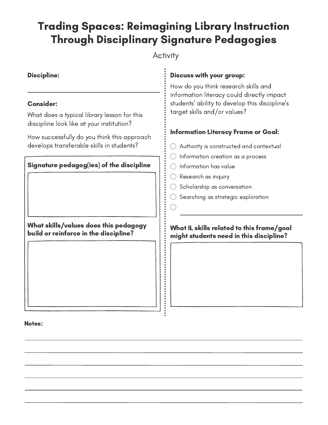# Trading Spaces: Reimagining Library Instruction Through Disciplinary Signature Pedagogies

## **Activity**

# Discipline: Signature pedagog(ies) of the discipline What does a typical library lesson for this discipline look like at your institution? How successfully do you think this approach develops transferable skills in students? Consider:

What skills/values does this pedagogy build or reinforce in the discipline?

### Discuss with your group:

How do you think research skills and information literacy could directly impact students' ability to develop this discipline's target skills and/or values?

## Information Literacy Frame or Goal:

- $\bigcirc$  Authority is constructed and contextual
- $\bigcirc$  Information creation as a process
- $\bigcirc$  Information has value
- Research as inquiry
- $\bigcirc$  Scholarship as conversation
- $\bigcirc$  Searching as strategic exploration

#### What IL skills related to this frame/goal might students need in this discipline?

#### Notes: